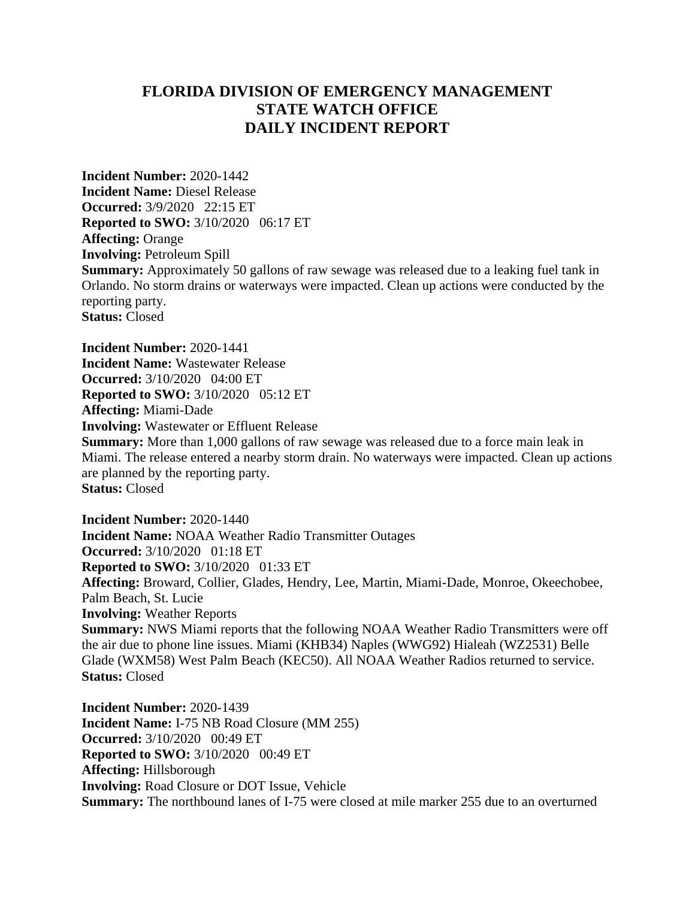## **FLORIDA DIVISION OF EMERGENCY MANAGEMENT STATE WATCH OFFICE DAILY INCIDENT REPORT**

**Incident Number:** 2020-1442 **Incident Name:** Diesel Release **Occurred:** 3/9/2020 22:15 ET **Reported to SWO:** 3/10/2020 06:17 ET **Affecting:** Orange **Involving:** Petroleum Spill **Summary:** Approximately 50 gallons of raw sewage was released due to a leaking fuel tank in Orlando. No storm drains or waterways were impacted. Clean up actions were conducted by the reporting party. **Status:** Closed

**Incident Number:** 2020-1441 **Incident Name:** Wastewater Release **Occurred:** 3/10/2020 04:00 ET **Reported to SWO:** 3/10/2020 05:12 ET **Affecting:** Miami-Dade **Involving:** Wastewater or Effluent Release

**Summary:** More than 1,000 gallons of raw sewage was released due to a force main leak in Miami. The release entered a nearby storm drain. No waterways were impacted. Clean up actions are planned by the reporting party. **Status:** Closed

**Incident Number:** 2020-1440 **Incident Name:** NOAA Weather Radio Transmitter Outages **Occurred:** 3/10/2020 01:18 ET **Reported to SWO:** 3/10/2020 01:33 ET **Affecting:** Broward, Collier, Glades, Hendry, Lee, Martin, Miami-Dade, Monroe, Okeechobee, Palm Beach, St. Lucie **Involving:** Weather Reports **Summary:** NWS Miami reports that the following NOAA Weather Radio Transmitters were off the air due to phone line issues. Miami (KHB34) Naples (WWG92) Hialeah (WZ2531) Belle Glade (WXM58) West Palm Beach (KEC50). All NOAA Weather Radios returned to service. **Status:** Closed

**Incident Number:** 2020-1439 **Incident Name:** I-75 NB Road Closure (MM 255) **Occurred:** 3/10/2020 00:49 ET **Reported to SWO:** 3/10/2020 00:49 ET **Affecting:** Hillsborough **Involving:** Road Closure or DOT Issue, Vehicle **Summary:** The northbound lanes of I-75 were closed at mile marker 255 due to an overturned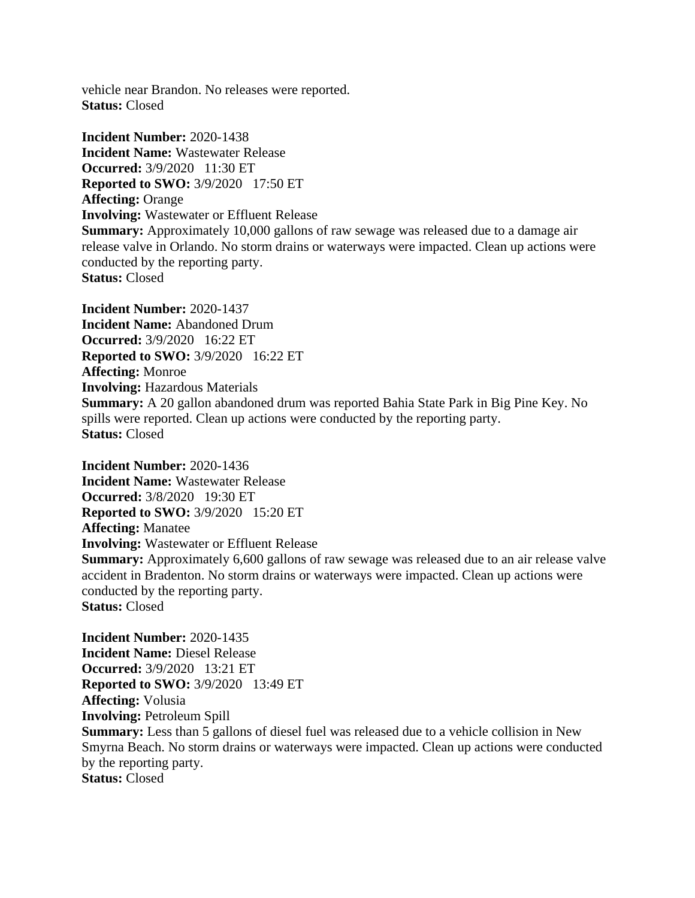vehicle near Brandon. No releases were reported. **Status:** Closed

**Incident Number:** 2020-1438 **Incident Name:** Wastewater Release **Occurred:** 3/9/2020 11:30 ET **Reported to SWO:** 3/9/2020 17:50 ET **Affecting:** Orange **Involving:** Wastewater or Effluent Release **Summary:** Approximately 10,000 gallons of raw sewage was released due to a damage air release valve in Orlando. No storm drains or waterways were impacted. Clean up actions were conducted by the reporting party. **Status:** Closed

**Incident Number:** 2020-1437 **Incident Name:** Abandoned Drum **Occurred:** 3/9/2020 16:22 ET **Reported to SWO:** 3/9/2020 16:22 ET **Affecting:** Monroe **Involving:** Hazardous Materials **Summary:** A 20 gallon abandoned drum was reported Bahia State Park in Big Pine Key. No spills were reported. Clean up actions were conducted by the reporting party. **Status:** Closed

**Incident Number:** 2020-1436 **Incident Name:** Wastewater Release **Occurred:** 3/8/2020 19:30 ET **Reported to SWO:** 3/9/2020 15:20 ET **Affecting:** Manatee **Involving:** Wastewater or Effluent Release **Summary:** Approximately 6,600 gallons of raw sewage was released due to an air release valve accident in Bradenton. No storm drains or waterways were impacted. Clean up actions were conducted by the reporting party. **Status:** Closed

**Incident Number:** 2020-1435 **Incident Name:** Diesel Release **Occurred:** 3/9/2020 13:21 ET **Reported to SWO:** 3/9/2020 13:49 ET **Affecting:** Volusia **Involving:** Petroleum Spill **Summary:** Less than 5 gallons of diesel fuel was released due to a vehicle collision in New Smyrna Beach. No storm drains or waterways were impacted. Clean up actions were conducted by the reporting party. **Status:** Closed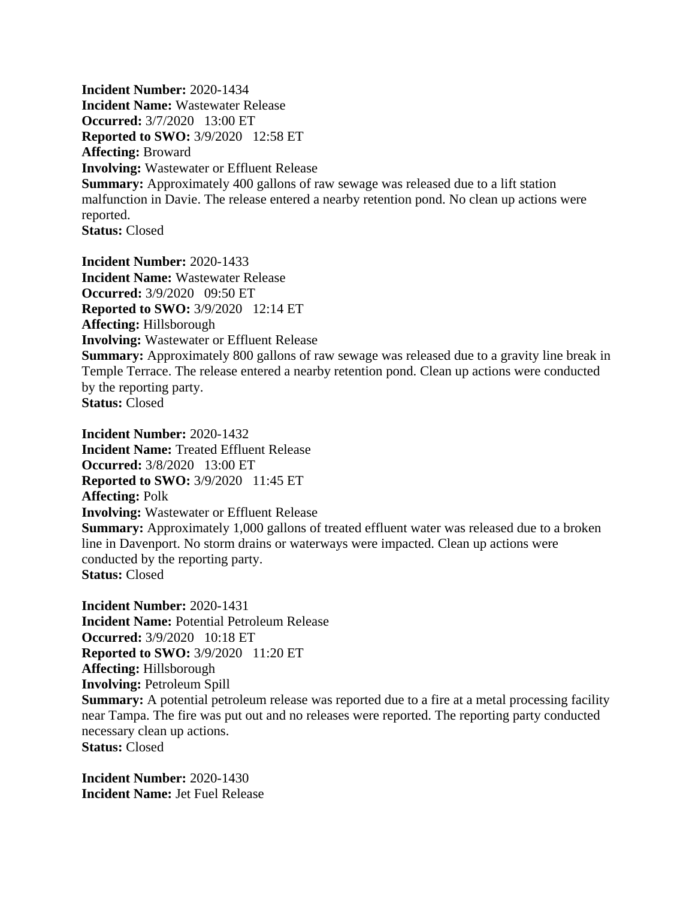**Incident Number:** 2020-1434 **Incident Name:** Wastewater Release **Occurred:** 3/7/2020 13:00 ET **Reported to SWO:** 3/9/2020 12:58 ET **Affecting:** Broward **Involving:** Wastewater or Effluent Release **Summary:** Approximately 400 gallons of raw sewage was released due to a lift station malfunction in Davie. The release entered a nearby retention pond. No clean up actions were reported. **Status:** Closed

**Incident Number:** 2020-1433 **Incident Name:** Wastewater Release **Occurred:** 3/9/2020 09:50 ET **Reported to SWO:** 3/9/2020 12:14 ET **Affecting:** Hillsborough **Involving:** Wastewater or Effluent Release **Summary:** Approximately 800 gallons of raw sewage was released due to a gravity line break in Temple Terrace. The release entered a nearby retention pond. Clean up actions were conducted by the reporting party. **Status:** Closed

**Incident Number:** 2020-1432 **Incident Name:** Treated Effluent Release **Occurred:** 3/8/2020 13:00 ET **Reported to SWO:** 3/9/2020 11:45 ET **Affecting:** Polk **Involving:** Wastewater or Effluent Release **Summary:** Approximately 1,000 gallons of treated effluent water was released due to a broken line in Davenport. No storm drains or waterways were impacted. Clean up actions were conducted by the reporting party. **Status:** Closed

**Incident Number:** 2020-1431 **Incident Name:** Potential Petroleum Release **Occurred:** 3/9/2020 10:18 ET **Reported to SWO:** 3/9/2020 11:20 ET **Affecting:** Hillsborough **Involving:** Petroleum Spill **Summary:** A potential petroleum release was reported due to a fire at a metal processing facility near Tampa. The fire was put out and no releases were reported. The reporting party conducted necessary clean up actions. **Status:** Closed

**Incident Number:** 2020-1430 **Incident Name:** Jet Fuel Release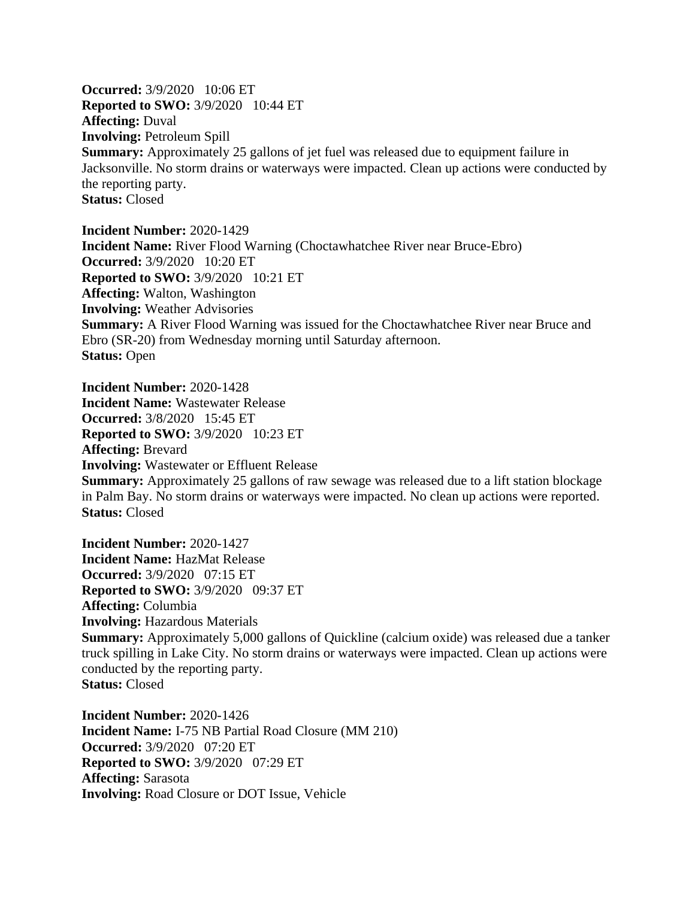**Occurred:** 3/9/2020 10:06 ET **Reported to SWO:** 3/9/2020 10:44 ET **Affecting:** Duval **Involving:** Petroleum Spill **Summary:** Approximately 25 gallons of jet fuel was released due to equipment failure in Jacksonville. No storm drains or waterways were impacted. Clean up actions were conducted by the reporting party. **Status:** Closed

**Incident Number:** 2020-1429 **Incident Name:** River Flood Warning (Choctawhatchee River near Bruce-Ebro) **Occurred:** 3/9/2020 10:20 ET **Reported to SWO:** 3/9/2020 10:21 ET **Affecting:** Walton, Washington **Involving:** Weather Advisories **Summary:** A River Flood Warning was issued for the Choctawhatchee River near Bruce and Ebro (SR-20) from Wednesday morning until Saturday afternoon. **Status:** Open

**Incident Number:** 2020-1428 **Incident Name:** Wastewater Release **Occurred:** 3/8/2020 15:45 ET **Reported to SWO:** 3/9/2020 10:23 ET **Affecting:** Brevard **Involving:** Wastewater or Effluent Release **Summary:** Approximately 25 gallons of raw sewage was released due to a lift station blockage in Palm Bay. No storm drains or waterways were impacted. No clean up actions were reported. **Status:** Closed

**Incident Number:** 2020-1427 **Incident Name:** HazMat Release **Occurred:** 3/9/2020 07:15 ET **Reported to SWO:** 3/9/2020 09:37 ET **Affecting:** Columbia **Involving:** Hazardous Materials **Summary:** Approximately 5,000 gallons of Quickline (calcium oxide) was released due a tanker truck spilling in Lake City. No storm drains or waterways were impacted. Clean up actions were conducted by the reporting party. **Status:** Closed

**Incident Number:** 2020-1426 **Incident Name:** I-75 NB Partial Road Closure (MM 210) **Occurred:** 3/9/2020 07:20 ET **Reported to SWO:** 3/9/2020 07:29 ET **Affecting:** Sarasota **Involving:** Road Closure or DOT Issue, Vehicle